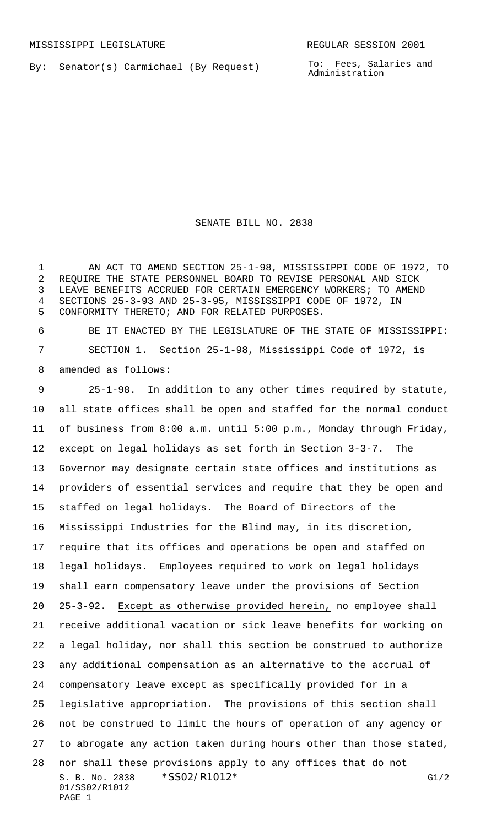By: Senator(s) Carmichael (By Request)

To: Fees, Salaries and Administration

SENATE BILL NO. 2838

 AN ACT TO AMEND SECTION 25-1-98, MISSISSIPPI CODE OF 1972, TO REQUIRE THE STATE PERSONNEL BOARD TO REVISE PERSONAL AND SICK LEAVE BENEFITS ACCRUED FOR CERTAIN EMERGENCY WORKERS; TO AMEND SECTIONS 25-3-93 AND 25-3-95, MISSISSIPPI CODE OF 1972, IN CONFORMITY THERETO; AND FOR RELATED PURPOSES.

 BE IT ENACTED BY THE LEGISLATURE OF THE STATE OF MISSISSIPPI: SECTION 1. Section 25-1-98, Mississippi Code of 1972, is amended as follows:

S. B. No. 2838 \* SS02/R1012\* G1/2 01/SS02/R1012 PAGE 1 25-1-98. In addition to any other times required by statute, all state offices shall be open and staffed for the normal conduct of business from 8:00 a.m. until 5:00 p.m., Monday through Friday, except on legal holidays as set forth in Section 3-3-7. The Governor may designate certain state offices and institutions as providers of essential services and require that they be open and staffed on legal holidays. The Board of Directors of the Mississippi Industries for the Blind may, in its discretion, require that its offices and operations be open and staffed on legal holidays. Employees required to work on legal holidays shall earn compensatory leave under the provisions of Section 25-3-92. Except as otherwise provided herein, no employee shall receive additional vacation or sick leave benefits for working on a legal holiday, nor shall this section be construed to authorize any additional compensation as an alternative to the accrual of compensatory leave except as specifically provided for in a legislative appropriation. The provisions of this section shall not be construed to limit the hours of operation of any agency or to abrogate any action taken during hours other than those stated, nor shall these provisions apply to any offices that do not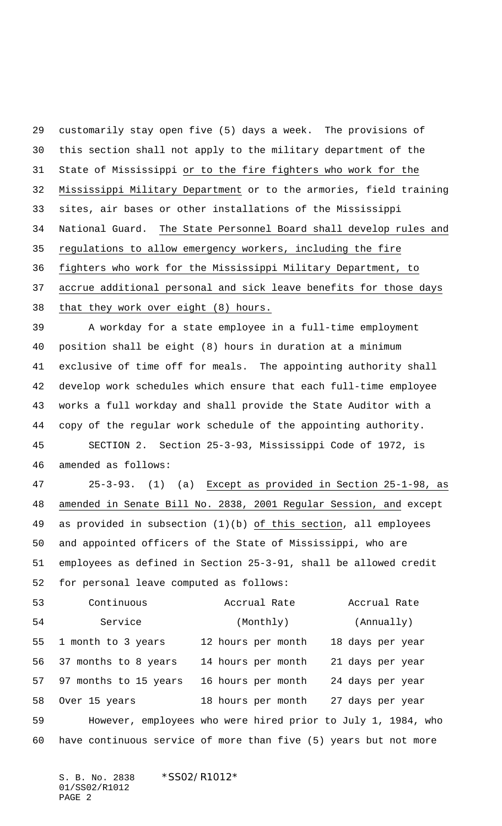customarily stay open five (5) days a week. The provisions of this section shall not apply to the military department of the State of Mississippi or to the fire fighters who work for the Mississippi Military Department or to the armories, field training sites, air bases or other installations of the Mississippi National Guard. The State Personnel Board shall develop rules and regulations to allow emergency workers, including the fire fighters who work for the Mississippi Military Department, to accrue additional personal and sick leave benefits for those days that they work over eight (8) hours. A workday for a state employee in a full-time employment position shall be eight (8) hours in duration at a minimum exclusive of time off for meals. The appointing authority shall develop work schedules which ensure that each full-time employee works a full workday and shall provide the State Auditor with a copy of the regular work schedule of the appointing authority. SECTION 2. Section 25-3-93, Mississippi Code of 1972, is amended as follows: 25-3-93. (1) (a) Except as provided in Section 25-1-98, as amended in Senate Bill No. 2838, 2001 Regular Session, and except as provided in subsection (1)(b) of this section, all employees and appointed officers of the State of Mississippi, who are employees as defined in Section 25-3-91, shall be allowed credit for personal leave computed as follows: Continuous Accrual Rate Accrual Rate 54 Service (Monthly) (Annually) 1 month to 3 years 12 hours per month 18 days per year 37 months to 8 years 14 hours per month 21 days per year 97 months to 15 years 16 hours per month 24 days per year Over 15 years 18 hours per month 27 days per year However, employees who were hired prior to July 1, 1984, who have continuous service of more than five (5) years but not more

S. B. No. 2838 \*SS02/R1012\* 01/SS02/R1012 PAGE 2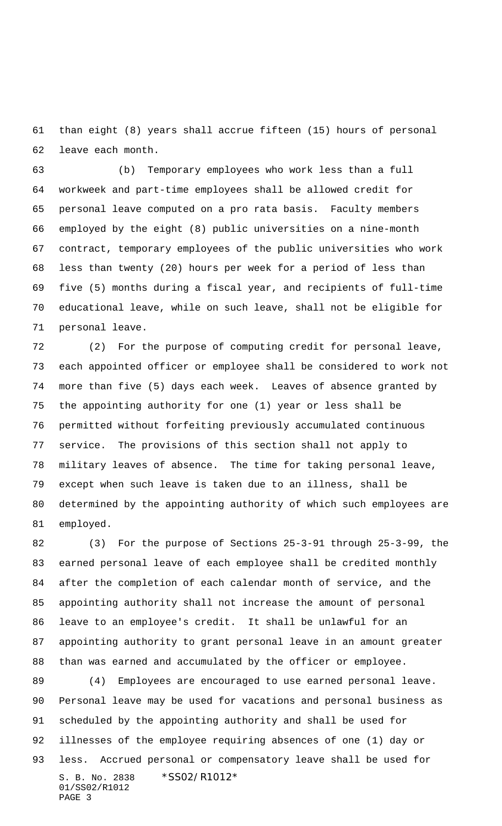than eight (8) years shall accrue fifteen (15) hours of personal leave each month.

 (b) Temporary employees who work less than a full workweek and part-time employees shall be allowed credit for personal leave computed on a pro rata basis. Faculty members employed by the eight (8) public universities on a nine-month contract, temporary employees of the public universities who work less than twenty (20) hours per week for a period of less than five (5) months during a fiscal year, and recipients of full-time educational leave, while on such leave, shall not be eligible for personal leave.

 (2) For the purpose of computing credit for personal leave, each appointed officer or employee shall be considered to work not more than five (5) days each week. Leaves of absence granted by the appointing authority for one (1) year or less shall be permitted without forfeiting previously accumulated continuous service. The provisions of this section shall not apply to military leaves of absence. The time for taking personal leave, except when such leave is taken due to an illness, shall be determined by the appointing authority of which such employees are employed.

 (3) For the purpose of Sections 25-3-91 through 25-3-99, the earned personal leave of each employee shall be credited monthly after the completion of each calendar month of service, and the appointing authority shall not increase the amount of personal leave to an employee's credit. It shall be unlawful for an appointing authority to grant personal leave in an amount greater than was earned and accumulated by the officer or employee.

S. B. No. 2838 \*SS02/R1012\* 01/SS02/R1012 PAGE 3 (4) Employees are encouraged to use earned personal leave. Personal leave may be used for vacations and personal business as scheduled by the appointing authority and shall be used for illnesses of the employee requiring absences of one (1) day or less. Accrued personal or compensatory leave shall be used for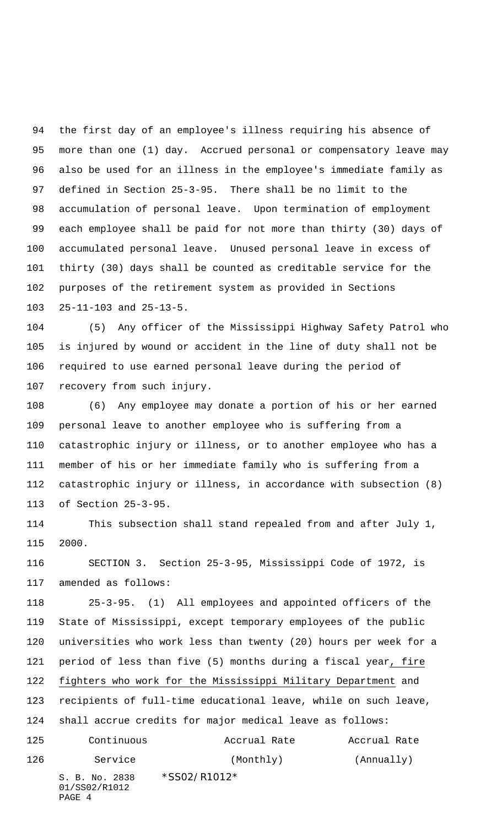the first day of an employee's illness requiring his absence of more than one (1) day. Accrued personal or compensatory leave may also be used for an illness in the employee's immediate family as defined in Section 25-3-95. There shall be no limit to the accumulation of personal leave. Upon termination of employment each employee shall be paid for not more than thirty (30) days of accumulated personal leave. Unused personal leave in excess of thirty (30) days shall be counted as creditable service for the purposes of the retirement system as provided in Sections 25-11-103 and 25-13-5.

 (5) Any officer of the Mississippi Highway Safety Patrol who is injured by wound or accident in the line of duty shall not be required to use earned personal leave during the period of recovery from such injury.

 (6) Any employee may donate a portion of his or her earned personal leave to another employee who is suffering from a catastrophic injury or illness, or to another employee who has a member of his or her immediate family who is suffering from a catastrophic injury or illness, in accordance with subsection (8) of Section 25-3-95.

 This subsection shall stand repealed from and after July 1, 2000.

 SECTION 3. Section 25-3-95, Mississippi Code of 1972, is amended as follows:

S. B. No. 2838 \*SS02/R1012\* 01/SS02/R1012 PAGE 4 25-3-95. (1) All employees and appointed officers of the State of Mississippi, except temporary employees of the public universities who work less than twenty (20) hours per week for a period of less than five (5) months during a fiscal year, fire fighters who work for the Mississippi Military Department and recipients of full-time educational leave, while on such leave, shall accrue credits for major medical leave as follows: Continuous Accrual Rate Accrual Rate 126 Service (Monthly) (Annually)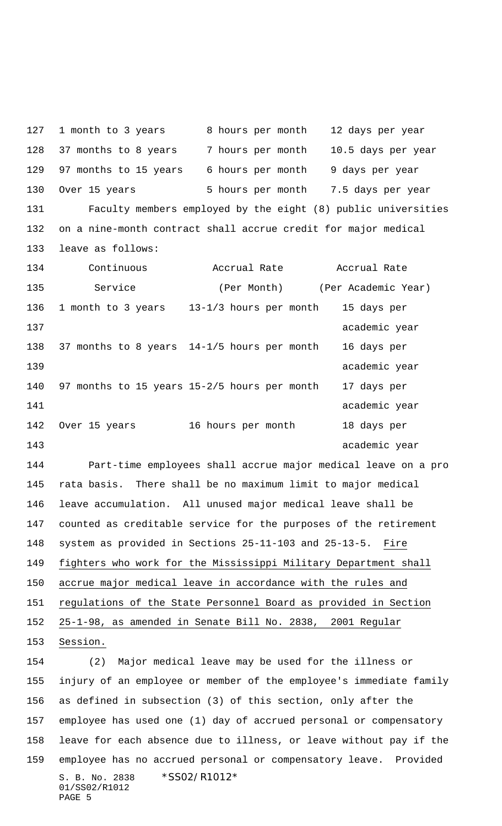S. B. No. 2838 \*SS02/R1012\* 01/SS02/R1012 PAGE 5 127 1 month to 3 years 8 hours per month 12 days per year 37 months to 8 years 7 hours per month 10.5 days per year 97 months to 15 years 6 hours per month 9 days per year 130 Over 15 years 5 hours per month 7.5 days per year Faculty members employed by the eight (8) public universities on a nine-month contract shall accrue credit for major medical leave as follows: Continuous Accrual Rate Accrual Rate 135 Service (Per Month) (Per Academic Year) 1 month to 3 years 13-1/3 hours per month 15 days per 137 academic year 37 months to 8 years 14-1/5 hours per month 16 days per 139 academic year 97 months to 15 years 15-2/5 hours per month 17 days per 141 academic year and the set of the set of the set of the set of the set of the set of the set of the set of the set of the set of the set of the set of the set of the set of the set of the set of the set of the set of th Over 15 years 16 hours per month 18 days per 143 academic year Part-time employees shall accrue major medical leave on a pro rata basis. There shall be no maximum limit to major medical leave accumulation. All unused major medical leave shall be counted as creditable service for the purposes of the retirement system as provided in Sections 25-11-103 and 25-13-5. Fire fighters who work for the Mississippi Military Department shall accrue major medical leave in accordance with the rules and regulations of the State Personnel Board as provided in Section 25-1-98, as amended in Senate Bill No. 2838, 2001 Regular Session. (2) Major medical leave may be used for the illness or injury of an employee or member of the employee's immediate family as defined in subsection (3) of this section, only after the employee has used one (1) day of accrued personal or compensatory leave for each absence due to illness, or leave without pay if the employee has no accrued personal or compensatory leave. Provided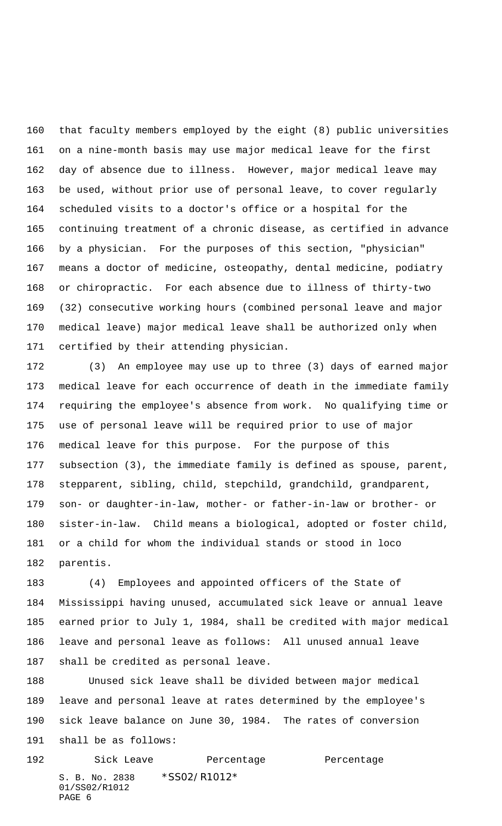that faculty members employed by the eight (8) public universities on a nine-month basis may use major medical leave for the first day of absence due to illness. However, major medical leave may be used, without prior use of personal leave, to cover regularly scheduled visits to a doctor's office or a hospital for the continuing treatment of a chronic disease, as certified in advance by a physician. For the purposes of this section, "physician" means a doctor of medicine, osteopathy, dental medicine, podiatry or chiropractic. For each absence due to illness of thirty-two (32) consecutive working hours (combined personal leave and major medical leave) major medical leave shall be authorized only when certified by their attending physician.

 (3) An employee may use up to three (3) days of earned major medical leave for each occurrence of death in the immediate family requiring the employee's absence from work. No qualifying time or use of personal leave will be required prior to use of major medical leave for this purpose. For the purpose of this subsection (3), the immediate family is defined as spouse, parent, stepparent, sibling, child, stepchild, grandchild, grandparent, son- or daughter-in-law, mother- or father-in-law or brother- or sister-in-law. Child means a biological, adopted or foster child, or a child for whom the individual stands or stood in loco parentis.

 (4) Employees and appointed officers of the State of Mississippi having unused, accumulated sick leave or annual leave earned prior to July 1, 1984, shall be credited with major medical leave and personal leave as follows: All unused annual leave shall be credited as personal leave.

 Unused sick leave shall be divided between major medical leave and personal leave at rates determined by the employee's sick leave balance on June 30, 1984. The rates of conversion shall be as follows:

S. B. No. 2838 \*SS02/R1012\* 01/SS02/R1012 PAGE 6 192 Sick Leave Percentage Percentage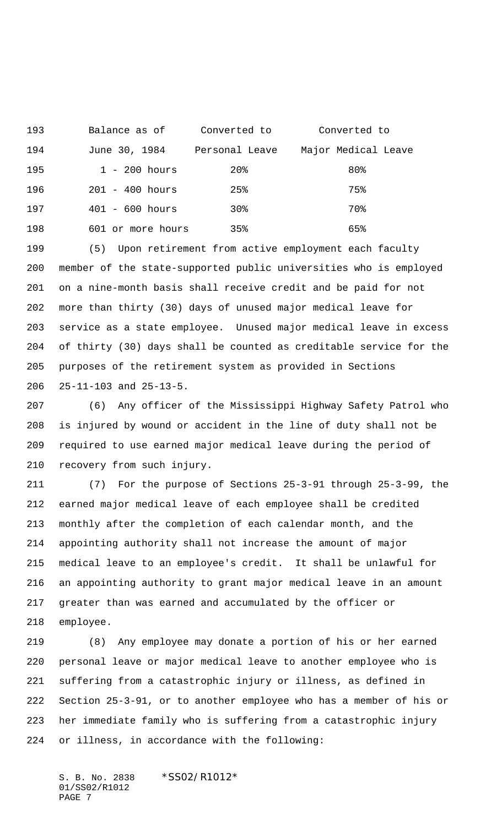Balance as of Converted to Converted to June 30, 1984 Personal Leave Major Medical Leave 195 1 - 200 hours 20% 80% 201 - 400 hours 25% 75% 401 - 600 hours 30% 70% 601 or more hours 35% 65%

 (5) Upon retirement from active employment each faculty member of the state-supported public universities who is employed on a nine-month basis shall receive credit and be paid for not more than thirty (30) days of unused major medical leave for service as a state employee. Unused major medical leave in excess of thirty (30) days shall be counted as creditable service for the purposes of the retirement system as provided in Sections 25-11-103 and 25-13-5.

 (6) Any officer of the Mississippi Highway Safety Patrol who is injured by wound or accident in the line of duty shall not be required to use earned major medical leave during the period of recovery from such injury.

 (7) For the purpose of Sections 25-3-91 through 25-3-99, the earned major medical leave of each employee shall be credited monthly after the completion of each calendar month, and the appointing authority shall not increase the amount of major medical leave to an employee's credit. It shall be unlawful for an appointing authority to grant major medical leave in an amount greater than was earned and accumulated by the officer or employee.

 (8) Any employee may donate a portion of his or her earned personal leave or major medical leave to another employee who is suffering from a catastrophic injury or illness, as defined in Section 25-3-91, or to another employee who has a member of his or her immediate family who is suffering from a catastrophic injury or illness, in accordance with the following:

S. B. No. 2838 \*SS02/R1012\* 01/SS02/R1012 PAGE 7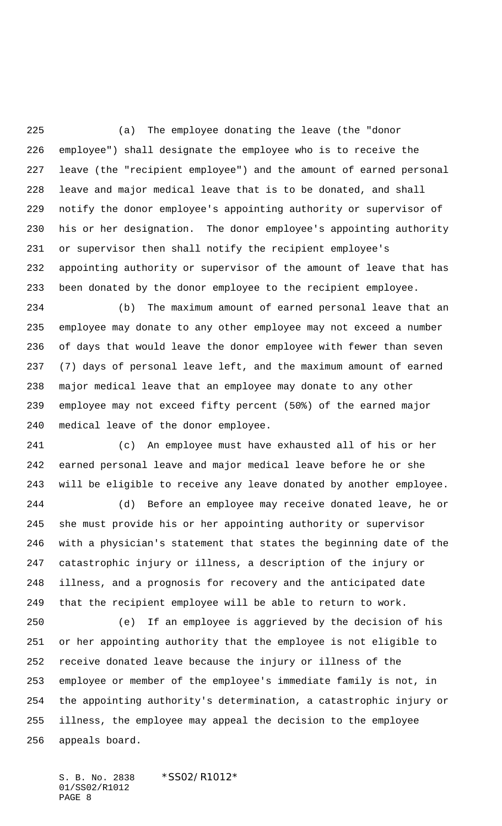(a) The employee donating the leave (the "donor employee") shall designate the employee who is to receive the leave (the "recipient employee") and the amount of earned personal leave and major medical leave that is to be donated, and shall notify the donor employee's appointing authority or supervisor of his or her designation. The donor employee's appointing authority or supervisor then shall notify the recipient employee's appointing authority or supervisor of the amount of leave that has been donated by the donor employee to the recipient employee.

 (b) The maximum amount of earned personal leave that an employee may donate to any other employee may not exceed a number of days that would leave the donor employee with fewer than seven (7) days of personal leave left, and the maximum amount of earned major medical leave that an employee may donate to any other employee may not exceed fifty percent (50%) of the earned major medical leave of the donor employee.

 (c) An employee must have exhausted all of his or her earned personal leave and major medical leave before he or she will be eligible to receive any leave donated by another employee.

 (d) Before an employee may receive donated leave, he or she must provide his or her appointing authority or supervisor with a physician's statement that states the beginning date of the catastrophic injury or illness, a description of the injury or illness, and a prognosis for recovery and the anticipated date that the recipient employee will be able to return to work.

 (e) If an employee is aggrieved by the decision of his or her appointing authority that the employee is not eligible to receive donated leave because the injury or illness of the employee or member of the employee's immediate family is not, in the appointing authority's determination, a catastrophic injury or illness, the employee may appeal the decision to the employee appeals board.

S. B. No. 2838 \* SS02/R1012\* 01/SS02/R1012 PAGE 8